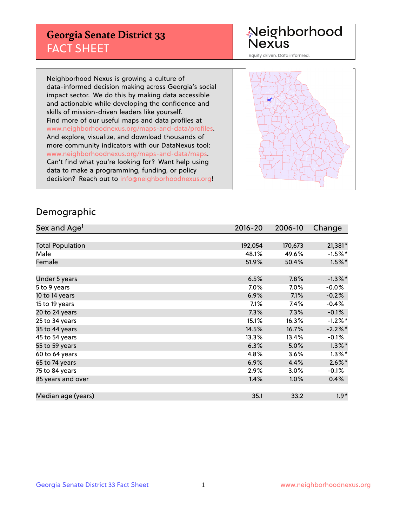## **Georgia Senate District 33** FACT SHEET

# Neighborhood<br>Nexus

Equity driven. Data informed.

Neighborhood Nexus is growing a culture of data-informed decision making across Georgia's social impact sector. We do this by making data accessible and actionable while developing the confidence and skills of mission-driven leaders like yourself. Find more of our useful maps and data profiles at www.neighborhoodnexus.org/maps-and-data/profiles. And explore, visualize, and download thousands of more community indicators with our DataNexus tool: www.neighborhoodnexus.org/maps-and-data/maps. Can't find what you're looking for? Want help using data to make a programming, funding, or policy decision? Reach out to [info@neighborhoodnexus.org!](mailto:info@neighborhoodnexus.org)



### Demographic

| Sex and Age <sup>1</sup> | 2016-20 | 2006-10 | Change     |
|--------------------------|---------|---------|------------|
|                          |         |         |            |
| <b>Total Population</b>  | 192,054 | 170,673 | $21,381*$  |
| Male                     | 48.1%   | 49.6%   | $-1.5\%$ * |
| Female                   | 51.9%   | 50.4%   | $1.5%$ *   |
|                          |         |         |            |
| Under 5 years            | 6.5%    | 7.8%    | $-1.3\%$ * |
| 5 to 9 years             | 7.0%    | $7.0\%$ | $-0.0%$    |
| 10 to 14 years           | 6.9%    | 7.1%    | $-0.2%$    |
| 15 to 19 years           | 7.1%    | 7.4%    | $-0.4%$    |
| 20 to 24 years           | 7.3%    | 7.3%    | $-0.1%$    |
| 25 to 34 years           | 15.1%   | 16.3%   | $-1.2%$ *  |
| 35 to 44 years           | 14.5%   | 16.7%   | $-2.2%$ *  |
| 45 to 54 years           | 13.3%   | 13.4%   | $-0.1%$    |
| 55 to 59 years           | 6.3%    | 5.0%    | $1.3\%$ *  |
| 60 to 64 years           | 4.8%    | 3.6%    | $1.3\%$ *  |
| 65 to 74 years           | 6.9%    | 4.4%    | $2.6\%$ *  |
| 75 to 84 years           | 2.9%    | 3.0%    | $-0.1\%$   |
| 85 years and over        | 1.4%    | 1.0%    | 0.4%       |
|                          |         |         |            |
| Median age (years)       | 35.1    | 33.2    | $1.9*$     |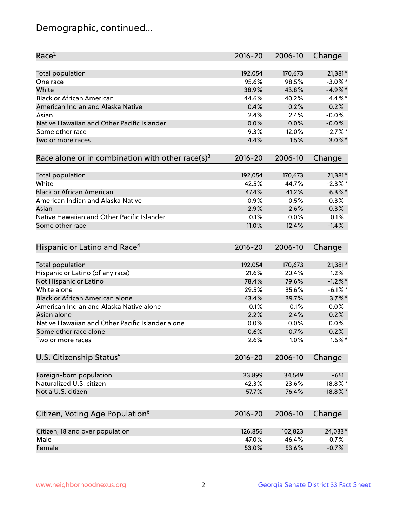## Demographic, continued...

| Race <sup>2</sup>                                            | $2016 - 20$ | 2006-10 | Change      |
|--------------------------------------------------------------|-------------|---------|-------------|
| <b>Total population</b>                                      | 192,054     | 170,673 | 21,381*     |
| One race                                                     | 95.6%       | 98.5%   | $-3.0\%$ *  |
| White                                                        | 38.9%       | 43.8%   | $-4.9%$ *   |
| <b>Black or African American</b>                             | 44.6%       | 40.2%   | 4.4%*       |
| American Indian and Alaska Native                            | 0.4%        | 0.2%    | 0.2%        |
| Asian                                                        | 2.4%        | 2.4%    | $-0.0%$     |
| Native Hawaiian and Other Pacific Islander                   | 0.0%        | 0.0%    | $-0.0%$     |
| Some other race                                              | 9.3%        | 12.0%   | $-2.7\%$ *  |
| Two or more races                                            | 4.4%        | 1.5%    | $3.0\%$ *   |
| Race alone or in combination with other race(s) <sup>3</sup> | $2016 - 20$ | 2006-10 | Change      |
| Total population                                             | 192,054     | 170,673 | 21,381*     |
| White                                                        | 42.5%       | 44.7%   | $-2.3%$ *   |
| <b>Black or African American</b>                             | 47.4%       | 41.2%   | $6.3\%$ *   |
| American Indian and Alaska Native                            | 0.9%        | 0.5%    | 0.3%        |
| Asian                                                        | 2.9%        | 2.6%    | 0.3%        |
| Native Hawaiian and Other Pacific Islander                   | 0.1%        | 0.0%    | 0.1%        |
| Some other race                                              | 11.0%       | 12.4%   | $-1.4%$     |
| Hispanic or Latino and Race <sup>4</sup>                     | $2016 - 20$ | 2006-10 | Change      |
| <b>Total population</b>                                      | 192,054     | 170,673 | 21,381*     |
| Hispanic or Latino (of any race)                             | 21.6%       | 20.4%   | 1.2%        |
| Not Hispanic or Latino                                       | 78.4%       | 79.6%   | $-1.2%$ *   |
| White alone                                                  | 29.5%       | 35.6%   | $-6.1\%$ *  |
| <b>Black or African American alone</b>                       | 43.4%       | 39.7%   | $3.7\%$ *   |
| American Indian and Alaska Native alone                      | 0.1%        | 0.1%    | 0.0%        |
| Asian alone                                                  | 2.2%        | 2.4%    | $-0.2%$     |
| Native Hawaiian and Other Pacific Islander alone             | $0.0\%$     | 0.0%    | 0.0%        |
| Some other race alone                                        | 0.6%        | 0.7%    | $-0.2%$     |
| Two or more races                                            | 2.6%        | 1.0%    | $1.6\%$ *   |
| U.S. Citizenship Status <sup>5</sup>                         | $2016 - 20$ | 2006-10 | Change      |
|                                                              |             |         |             |
| Foreign-born population                                      | 33,899      | 34,549  | $-651$      |
| Naturalized U.S. citizen                                     | 42.3%       | 23.6%   | 18.8%*      |
| Not a U.S. citizen                                           | 57.7%       | 76.4%   | $-18.8\%$ * |
| Citizen, Voting Age Population <sup>6</sup>                  | 2016-20     | 2006-10 | Change      |
| Citizen, 18 and over population                              | 126,856     | 102,823 | 24,033*     |
| Male                                                         | 47.0%       | 46.4%   | 0.7%        |
| Female                                                       | 53.0%       | 53.6%   | $-0.7%$     |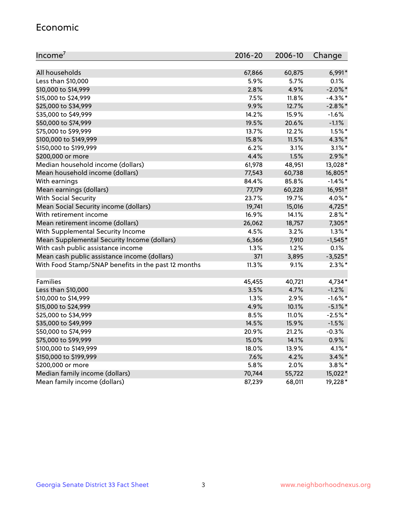#### Economic

| Income <sup>7</sup>                                 | $2016 - 20$ | 2006-10 | Change     |
|-----------------------------------------------------|-------------|---------|------------|
|                                                     |             |         |            |
| All households                                      | 67,866      | 60,875  | $6,991*$   |
| Less than \$10,000                                  | 5.9%        | 5.7%    | 0.1%       |
| \$10,000 to \$14,999                                | 2.8%        | 4.9%    | $-2.0\%$ * |
| \$15,000 to \$24,999                                | 7.5%        | 11.8%   | $-4.3\%$ * |
| \$25,000 to \$34,999                                | 9.9%        | 12.7%   | $-2.8\%$ * |
| \$35,000 to \$49,999                                | 14.2%       | 15.9%   | $-1.6%$    |
| \$50,000 to \$74,999                                | 19.5%       | 20.6%   | $-1.1%$    |
| \$75,000 to \$99,999                                | 13.7%       | 12.2%   | $1.5\%$ *  |
| \$100,000 to \$149,999                              | 15.8%       | 11.5%   | 4.3%*      |
| \$150,000 to \$199,999                              | 6.2%        | 3.1%    | $3.1\%$ *  |
| \$200,000 or more                                   | 4.4%        | 1.5%    | $2.9\%$ *  |
| Median household income (dollars)                   | 61,978      | 48,951  | 13,028*    |
| Mean household income (dollars)                     | 77,543      | 60,738  | 16,805*    |
| With earnings                                       | 84.4%       | 85.8%   | $-1.4\%$ * |
| Mean earnings (dollars)                             | 77,179      | 60,228  | 16,951*    |
| <b>With Social Security</b>                         | 23.7%       | 19.7%   | 4.0%*      |
| Mean Social Security income (dollars)               | 19,741      | 15,016  | 4,725*     |
| With retirement income                              | 16.9%       | 14.1%   | $2.8\%$ *  |
| Mean retirement income (dollars)                    | 26,062      | 18,757  | 7,305*     |
| With Supplemental Security Income                   | 4.5%        | 3.2%    | $1.3\%$ *  |
| Mean Supplemental Security Income (dollars)         | 6,366       | 7,910   | $-1,545*$  |
| With cash public assistance income                  | 1.3%        | 1.2%    | 0.1%       |
| Mean cash public assistance income (dollars)        | 371         | 3,895   | $-3,525*$  |
| With Food Stamp/SNAP benefits in the past 12 months | 11.3%       | 9.1%    | $2.3\%$ *  |
|                                                     |             |         |            |
| Families                                            | 45,455      | 40,721  | 4,734*     |
| Less than \$10,000                                  | 3.5%        | 4.7%    | $-1.2%$    |
| \$10,000 to \$14,999                                | 1.3%        | 2.9%    | $-1.6\%$ * |
| \$15,000 to \$24,999                                | 4.9%        | 10.1%   | $-5.1\%$ * |
| \$25,000 to \$34,999                                | 8.5%        | 11.0%   | $-2.5%$ *  |
| \$35,000 to \$49,999                                | 14.5%       | 15.9%   | $-1.5%$    |
| \$50,000 to \$74,999                                | 20.9%       | 21.2%   | $-0.3%$    |
| \$75,000 to \$99,999                                | 15.0%       | 14.1%   | 0.9%       |
| \$100,000 to \$149,999                              | 18.0%       | 13.9%   | 4.1%*      |
| \$150,000 to \$199,999                              | 7.6%        | 4.2%    | $3.4\%$ *  |
| \$200,000 or more                                   | 5.8%        | 2.0%    | $3.8\%$ *  |
| Median family income (dollars)                      | 70,744      | 55,722  | 15,022*    |
| Mean family income (dollars)                        | 87,239      | 68,011  | 19,228*    |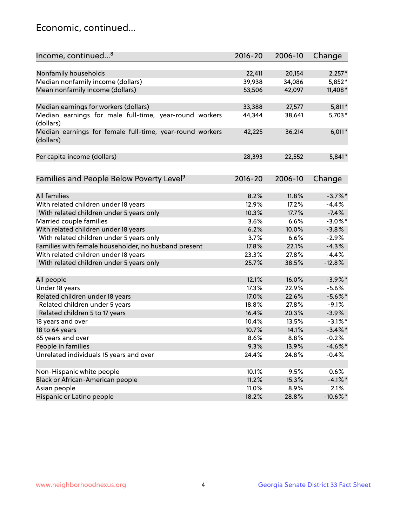## Economic, continued...

| Income, continued <sup>8</sup>                                        | $2016 - 20$ | 2006-10 | Change      |
|-----------------------------------------------------------------------|-------------|---------|-------------|
|                                                                       |             |         |             |
| Nonfamily households                                                  | 22,411      | 20,154  | $2,257*$    |
| Median nonfamily income (dollars)                                     | 39,938      | 34,086  | 5,852*      |
| Mean nonfamily income (dollars)                                       | 53,506      | 42,097  | 11,408 *    |
| Median earnings for workers (dollars)                                 | 33,388      | 27,577  | $5,811*$    |
| Median earnings for male full-time, year-round workers                | 44,344      | 38,641  | 5,703*      |
| (dollars)                                                             |             |         |             |
| Median earnings for female full-time, year-round workers<br>(dollars) | 42,225      | 36,214  | $6,011*$    |
| Per capita income (dollars)                                           | 28,393      | 22,552  | $5,841*$    |
|                                                                       |             |         |             |
| Families and People Below Poverty Level <sup>9</sup>                  | 2016-20     | 2006-10 | Change      |
|                                                                       |             |         |             |
| <b>All families</b>                                                   | 8.2%        | 11.8%   | $-3.7\%$ *  |
| With related children under 18 years                                  | 12.9%       | 17.2%   | $-4.4%$     |
| With related children under 5 years only                              | 10.3%       | 17.7%   | $-7.4%$     |
| Married couple families                                               | 3.6%        | 6.6%    | $-3.0\%$ *  |
| With related children under 18 years                                  | 6.2%        | 10.0%   | $-3.8%$     |
| With related children under 5 years only                              | 3.7%        | 6.6%    | $-2.9%$     |
| Families with female householder, no husband present                  | 17.8%       | 22.1%   | $-4.3%$     |
| With related children under 18 years                                  | 23.3%       | 27.8%   | $-4.4%$     |
| With related children under 5 years only                              | 25.7%       | 38.5%   | $-12.8%$    |
| All people                                                            | 12.1%       | 16.0%   | $-3.9\%$ *  |
| Under 18 years                                                        | 17.3%       | 22.9%   | $-5.6%$     |
| Related children under 18 years                                       | 17.0%       | 22.6%   | $-5.6%$ *   |
| Related children under 5 years                                        | 18.8%       | 27.8%   | $-9.1%$     |
| Related children 5 to 17 years                                        | 16.4%       | 20.3%   | $-3.9%$     |
| 18 years and over                                                     | 10.4%       | 13.5%   | $-3.1\%$ *  |
| 18 to 64 years                                                        | 10.7%       | 14.1%   | $-3.4\%$ *  |
| 65 years and over                                                     | 8.6%        | 8.8%    | $-0.2%$     |
| People in families                                                    | 9.3%        | 13.9%   | $-4.6\%$ *  |
| Unrelated individuals 15 years and over                               | 24.4%       | 24.8%   | $-0.4%$     |
|                                                                       |             |         |             |
| Non-Hispanic white people                                             | 10.1%       | 9.5%    | 0.6%        |
| Black or African-American people                                      | 11.2%       | 15.3%   | $-4.1\%$ *  |
| Asian people                                                          | 11.0%       | 8.9%    | 2.1%        |
| Hispanic or Latino people                                             | 18.2%       | 28.8%   | $-10.6\%$ * |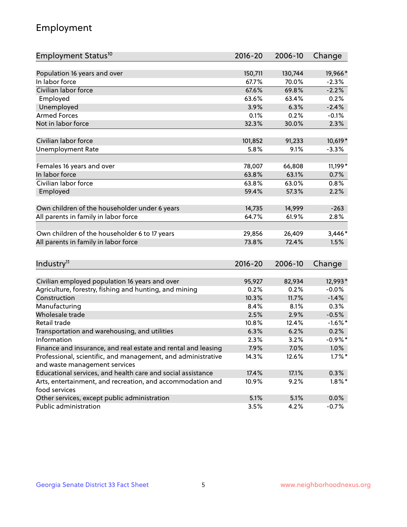## Employment

| Employment Status <sup>10</sup>                               | $2016 - 20$ | 2006-10         | Change     |
|---------------------------------------------------------------|-------------|-----------------|------------|
|                                                               |             |                 |            |
| Population 16 years and over                                  | 150,711     | 130,744         | 19,966*    |
| In labor force                                                | 67.7%       | 70.0%           | $-2.3%$    |
| Civilian labor force                                          | 67.6%       | 69.8%           | $-2.2%$    |
| Employed                                                      | 63.6%       | 63.4%           | 0.2%       |
| Unemployed                                                    | 3.9%        | 6.3%            | $-2.4%$    |
| <b>Armed Forces</b>                                           | 0.1%        | 0.2%            | $-0.1%$    |
| Not in labor force                                            | 32.3%       | 30.0%           | 2.3%       |
|                                                               |             |                 |            |
| Civilian labor force                                          | 101,852     | 91,233          | 10,619*    |
| <b>Unemployment Rate</b>                                      | 5.8%        | 9.1%            | $-3.3%$    |
| Females 16 years and over                                     | 78,007      | 66,808          | 11,199*    |
| In labor force                                                | 63.8%       | 63.1%           | 0.7%       |
| Civilian labor force                                          | 63.8%       | 63.0%           | 0.8%       |
| Employed                                                      | 59.4%       | 57.3%           | 2.2%       |
|                                                               |             |                 |            |
| Own children of the householder under 6 years                 | 14,735      | 14,999          | $-263$     |
| All parents in family in labor force                          | 64.7%       | 61.9%           | 2.8%       |
|                                                               |             |                 |            |
| Own children of the householder 6 to 17 years                 | 29,856      | 26,409<br>72.4% | $3,446*$   |
| All parents in family in labor force                          | 73.8%       |                 | 1.5%       |
|                                                               |             |                 |            |
| Industry <sup>11</sup>                                        | $2016 - 20$ | 2006-10         | Change     |
| Civilian employed population 16 years and over                | 95,927      | 82,934          | 12,993*    |
| Agriculture, forestry, fishing and hunting, and mining        | 0.2%        | 0.2%            | $-0.0%$    |
| Construction                                                  | 10.3%       | 11.7%           | $-1.4%$    |
| Manufacturing                                                 | 8.4%        | 8.1%            | 0.3%       |
| Wholesale trade                                               | 2.5%        | 2.9%            | $-0.5%$    |
| Retail trade                                                  | 10.8%       | 12.4%           | $-1.6\%$ * |
| Transportation and warehousing, and utilities                 | 6.3%        | 6.2%            | 0.2%       |
| Information                                                   | 2.3%        | 3.2%            | $-0.9%$ *  |
| Finance and insurance, and real estate and rental and leasing | 7.9%        | 7.0%            | 1.0%       |
| Professional, scientific, and management, and administrative  | 14.3%       | 12.6%           | $1.7\%$ *  |
| and waste management services                                 |             |                 |            |
| Educational services, and health care and social assistance   | 17.4%       | 17.1%           | 0.3%       |
| Arts, entertainment, and recreation, and accommodation and    | 10.9%       | 9.2%            | $1.8\%$ *  |
| food services                                                 |             |                 |            |
| Other services, except public administration                  | 5.1%        | 5.1%            | 0.0%       |
| Public administration                                         | 3.5%        | 4.2%            | $-0.7%$    |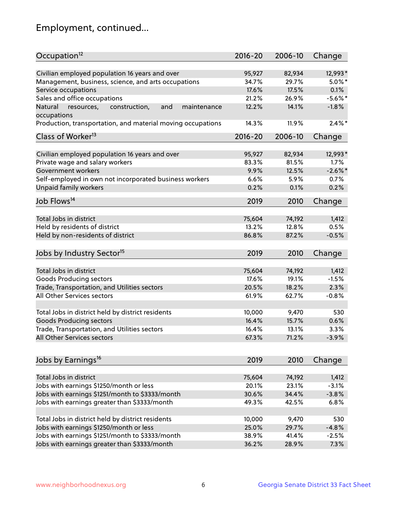## Employment, continued...

| Occupation <sup>12</sup>                                     | $2016 - 20$ | 2006-10 | Change     |
|--------------------------------------------------------------|-------------|---------|------------|
| Civilian employed population 16 years and over               | 95,927      | 82,934  | 12,993*    |
| Management, business, science, and arts occupations          | 34.7%       | 29.7%   | $5.0\%$ *  |
| Service occupations                                          | 17.6%       | 17.5%   | 0.1%       |
| Sales and office occupations                                 | 21.2%       | 26.9%   | $-5.6\%$ * |
| Natural<br>and<br>resources,<br>construction,<br>maintenance | 12.2%       | 14.1%   | $-1.8%$    |
| occupations                                                  |             |         |            |
| Production, transportation, and material moving occupations  | 14.3%       | 11.9%   | $2.4\%$ *  |
| Class of Worker <sup>13</sup>                                | $2016 - 20$ | 2006-10 | Change     |
|                                                              |             |         |            |
| Civilian employed population 16 years and over               | 95,927      | 82,934  | 12,993*    |
| Private wage and salary workers                              | 83.3%       | 81.5%   | 1.7%       |
| Government workers                                           | 9.9%        | 12.5%   | $-2.6\%$ * |
| Self-employed in own not incorporated business workers       | 6.6%        | 5.9%    | 0.7%       |
| Unpaid family workers                                        | 0.2%        | 0.1%    | 0.2%       |
| Job Flows <sup>14</sup>                                      | 2019        | 2010    | Change     |
|                                                              |             |         |            |
| Total Jobs in district                                       | 75,604      | 74,192  | 1,412      |
| Held by residents of district                                | 13.2%       | 12.8%   | 0.5%       |
| Held by non-residents of district                            | 86.8%       | 87.2%   | $-0.5%$    |
| Jobs by Industry Sector <sup>15</sup>                        | 2019        | 2010    | Change     |
|                                                              |             |         |            |
| Total Jobs in district                                       | 75,604      | 74,192  | 1,412      |
| Goods Producing sectors                                      | 17.6%       | 19.1%   | $-1.5%$    |
| Trade, Transportation, and Utilities sectors                 | 20.5%       | 18.2%   | 2.3%       |
| All Other Services sectors                                   | 61.9%       | 62.7%   | $-0.8%$    |
| Total Jobs in district held by district residents            | 10,000      | 9,470   | 530        |
| <b>Goods Producing sectors</b>                               | 16.4%       | 15.7%   | 0.6%       |
| Trade, Transportation, and Utilities sectors                 | 16.4%       | 13.1%   | 3.3%       |
| All Other Services sectors                                   | 67.3%       | 71.2%   | $-3.9%$    |
|                                                              |             |         |            |
| Jobs by Earnings <sup>16</sup>                               | 2019        | 2010    | Change     |
|                                                              |             |         |            |
| Total Jobs in district                                       | 75,604      | 74,192  | 1,412      |
| Jobs with earnings \$1250/month or less                      | 20.1%       | 23.1%   | $-3.1%$    |
| Jobs with earnings \$1251/month to \$3333/month              | 30.6%       | 34.4%   | $-3.8%$    |
| Jobs with earnings greater than \$3333/month                 | 49.3%       | 42.5%   | 6.8%       |
| Total Jobs in district held by district residents            | 10,000      | 9,470   | 530        |
| Jobs with earnings \$1250/month or less                      | 25.0%       | 29.7%   | $-4.8%$    |
| Jobs with earnings \$1251/month to \$3333/month              | 38.9%       | 41.4%   | $-2.5%$    |
| Jobs with earnings greater than \$3333/month                 | 36.2%       | 28.9%   | 7.3%       |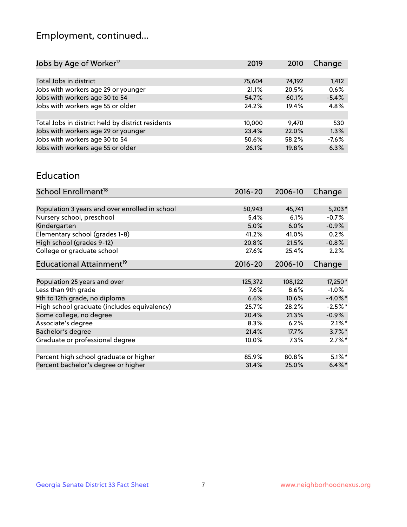## Employment, continued...

| 2019   | 2010   | Change  |
|--------|--------|---------|
|        |        |         |
| 75,604 | 74,192 | 1,412   |
| 21.1%  | 20.5%  | 0.6%    |
| 54.7%  | 60.1%  | $-5.4%$ |
| 24.2%  | 19.4%  | 4.8%    |
|        |        |         |
| 10,000 | 9.470  | 530     |
| 23.4%  | 22.0%  | 1.3%    |
| 50.6%  | 58.2%  | $-7.6%$ |
| 26.1%  | 19.8%  | 6.3%    |
|        |        |         |

#### Education

| School Enrollment <sup>18</sup>                | $2016 - 20$ | 2006-10 | Change     |
|------------------------------------------------|-------------|---------|------------|
|                                                |             |         |            |
| Population 3 years and over enrolled in school | 50,943      | 45,741  | $5,203*$   |
| Nursery school, preschool                      | 5.4%        | 6.1%    | $-0.7%$    |
| Kindergarten                                   | 5.0%        | 6.0%    | $-0.9%$    |
| Elementary school (grades 1-8)                 | 41.2%       | 41.0%   | 0.2%       |
| High school (grades 9-12)                      | 20.8%       | 21.5%   | $-0.8%$    |
| College or graduate school                     | 27.6%       | 25.4%   | 2.2%       |
| Educational Attainment <sup>19</sup>           | $2016 - 20$ | 2006-10 | Change     |
|                                                |             |         |            |
| Population 25 years and over                   | 125,372     | 108,122 | 17,250*    |
| Less than 9th grade                            | 7.6%        | 8.6%    | $-1.0%$    |
| 9th to 12th grade, no diploma                  | 6.6%        | 10.6%   | $-4.0\%$ * |
| High school graduate (includes equivalency)    | 25.7%       | 28.2%   | $-2.5%$ *  |
| Some college, no degree                        | 20.4%       | 21.3%   | $-0.9%$    |
| Associate's degree                             | 8.3%        | 6.2%    | $2.1\%$ *  |
| Bachelor's degree                              | 21.4%       | 17.7%   | $3.7\%$ *  |
| Graduate or professional degree                | 10.0%       | 7.3%    | $2.7\%$ *  |
|                                                |             |         |            |
| Percent high school graduate or higher         | 85.9%       | 80.8%   | $5.1\%$ *  |
| Percent bachelor's degree or higher            | 31.4%       | 25.0%   | $6.4\%$ *  |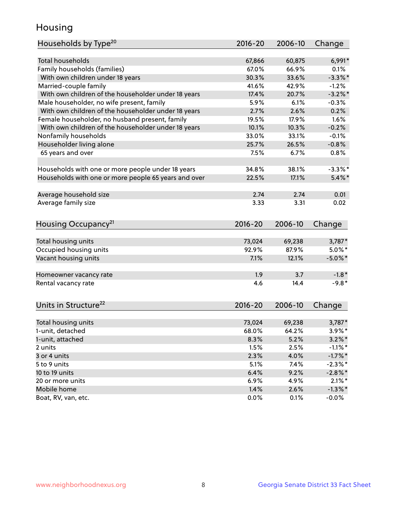## Housing

| Households by Type <sup>20</sup>                     | 2016-20     | 2006-10 | Change                  |
|------------------------------------------------------|-------------|---------|-------------------------|
|                                                      |             |         |                         |
| <b>Total households</b>                              | 67,866      | 60,875  | $6,991*$                |
| Family households (families)                         | 67.0%       | 66.9%   | 0.1%                    |
| With own children under 18 years                     | 30.3%       | 33.6%   | $-3.3\%$ *              |
| Married-couple family                                | 41.6%       | 42.9%   | $-1.2%$                 |
| With own children of the householder under 18 years  | 17.4%       | 20.7%   | $-3.2\%$ *              |
| Male householder, no wife present, family            | 5.9%        | 6.1%    | $-0.3%$                 |
| With own children of the householder under 18 years  | 2.7%        | 2.6%    | 0.2%                    |
| Female householder, no husband present, family       | 19.5%       | 17.9%   | 1.6%                    |
| With own children of the householder under 18 years  | 10.1%       | 10.3%   | $-0.2%$                 |
| Nonfamily households                                 | 33.0%       | 33.1%   | $-0.1%$                 |
| Householder living alone                             | 25.7%       | 26.5%   | $-0.8%$                 |
| 65 years and over                                    | 7.5%        | 6.7%    | 0.8%                    |
| Households with one or more people under 18 years    | 34.8%       | 38.1%   | $-3.3\%$ *              |
| Households with one or more people 65 years and over | 22.5%       | 17.1%   | $5.4\%$ *               |
|                                                      | 2.74        | 2.74    | 0.01                    |
| Average household size                               | 3.33        | 3.31    | 0.02                    |
| Average family size                                  |             |         |                         |
| Housing Occupancy <sup>21</sup>                      | $2016 - 20$ | 2006-10 | Change                  |
| Total housing units                                  | 73,024      | 69,238  | 3,787*                  |
| Occupied housing units                               | 92.9%       | 87.9%   | $5.0\%$ *               |
| Vacant housing units                                 | 7.1%        | 12.1%   | $-5.0\%$ *              |
|                                                      |             |         |                         |
| Homeowner vacancy rate                               | 1.9         | 3.7     | $-1.8*$                 |
| Rental vacancy rate                                  | 4.6         | 14.4    | $-9.8*$                 |
| Units in Structure <sup>22</sup>                     | 2016-20     | 2006-10 | Change                  |
| Total housing units                                  | 73,024      | 69,238  | 3,787*                  |
| 1-unit, detached                                     | 68.0%       | 64.2%   | $3.9\%$ *               |
| 1-unit, attached                                     | 8.3%        | 5.2%    | $3.2\%$ *               |
| 2 units                                              | 1.5%        | 2.5%    | $-1.1\%$ *              |
| 3 or 4 units                                         | 2.3%        | 4.0%    | $-1.7%$ *               |
| 5 to 9 units                                         | 5.1%        | 7.4%    | $-2.3\%$ *              |
| 10 to 19 units                                       | 6.4%        | 9.2%    |                         |
| 20 or more units                                     | 6.9%        | 4.9%    | $-2.8\%$ *<br>$2.1\%$ * |
| Mobile home                                          | 1.4%        | 2.6%    | $-1.3\%$ *              |
| Boat, RV, van, etc.                                  | 0.0%        | 0.1%    | $-0.0%$                 |
|                                                      |             |         |                         |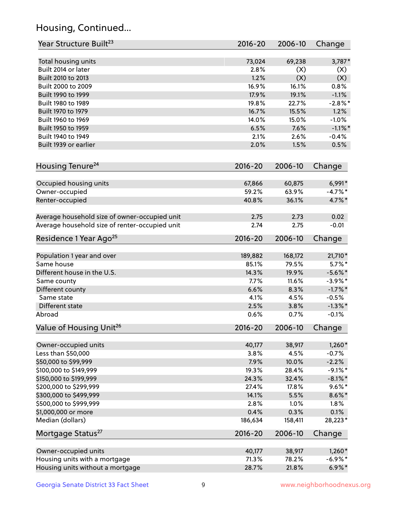## Housing, Continued...

| Year Structure Built <sup>23</sup>             | 2016-20     | 2006-10 | Change     |
|------------------------------------------------|-------------|---------|------------|
| Total housing units                            | 73,024      | 69,238  | $3,787*$   |
| Built 2014 or later                            | 2.8%        | (X)     | (X)        |
| Built 2010 to 2013                             | 1.2%        | (X)     | (X)        |
| Built 2000 to 2009                             | 16.9%       | 16.1%   | 0.8%       |
| Built 1990 to 1999                             | 17.9%       | 19.1%   | $-1.1%$    |
| Built 1980 to 1989                             | 19.8%       | 22.7%   | $-2.8\%$ * |
| Built 1970 to 1979                             | 16.7%       | 15.5%   | 1.2%       |
| Built 1960 to 1969                             | 14.0%       | 15.0%   | $-1.0%$    |
| Built 1950 to 1959                             | 6.5%        | 7.6%    | $-1.1\%$ * |
| Built 1940 to 1949                             | 2.1%        | 2.6%    | $-0.4%$    |
| Built 1939 or earlier                          | 2.0%        | 1.5%    | 0.5%       |
|                                                |             |         |            |
| Housing Tenure <sup>24</sup>                   | $2016 - 20$ | 2006-10 | Change     |
| Occupied housing units                         | 67,866      | 60,875  | $6,991*$   |
| Owner-occupied                                 | 59.2%       | 63.9%   | $-4.7\%$ * |
| Renter-occupied                                | 40.8%       | 36.1%   | 4.7%*      |
| Average household size of owner-occupied unit  | 2.75        | 2.73    | 0.02       |
| Average household size of renter-occupied unit | 2.74        | 2.75    | $-0.01$    |
| Residence 1 Year Ago <sup>25</sup>             | $2016 - 20$ | 2006-10 | Change     |
| Population 1 year and over                     | 189,882     | 168,172 | 21,710*    |
| Same house                                     | 85.1%       | 79.5%   | $5.7\%$ *  |
| Different house in the U.S.                    | 14.3%       | 19.9%   | $-5.6\%$ * |
| Same county                                    | 7.7%        | 11.6%   | $-3.9\%$ * |
| Different county                               | 6.6%        | 8.3%    | $-1.7%$ *  |
| Same state                                     | 4.1%        | 4.5%    | $-0.5%$    |
| Different state                                | 2.5%        | 3.8%    | $-1.3\%$ * |
| Abroad                                         | 0.6%        | 0.7%    | $-0.1%$    |
|                                                |             |         |            |
| Value of Housing Unit <sup>26</sup>            | $2016 - 20$ | 2006-10 | Change     |
| Owner-occupied units                           | 40,177      | 38,917  | $1,260*$   |
| Less than \$50,000                             | 3.8%        | 4.5%    | $-0.7%$    |
| \$50,000 to \$99,999                           | 7.9%        | 10.0%   | $-2.2%$    |
| \$100,000 to \$149,999                         | 19.3%       | 28.4%   | $-9.1\%$ * |
| \$150,000 to \$199,999                         | 24.3%       | 32.4%   | $-8.1\%$ * |
| \$200,000 to \$299,999                         | 27.4%       | 17.8%   | $9.6\% *$  |
| \$300,000 to \$499,999                         | 14.1%       | 5.5%    | $8.6\% *$  |
| \$500,000 to \$999,999                         | 2.8%        | 1.0%    | 1.8%       |
| \$1,000,000 or more                            | 0.4%        | 0.3%    | 0.1%       |
| Median (dollars)                               | 186,634     | 158,411 | 28,223*    |
| Mortgage Status <sup>27</sup>                  | $2016 - 20$ | 2006-10 | Change     |
|                                                |             |         |            |
| Owner-occupied units                           | 40,177      | 38,917  | $1,260*$   |
| Housing units with a mortgage                  | 71.3%       | 78.2%   | $-6.9\%$ * |
| Housing units without a mortgage               | 28.7%       | 21.8%   | $6.9\% *$  |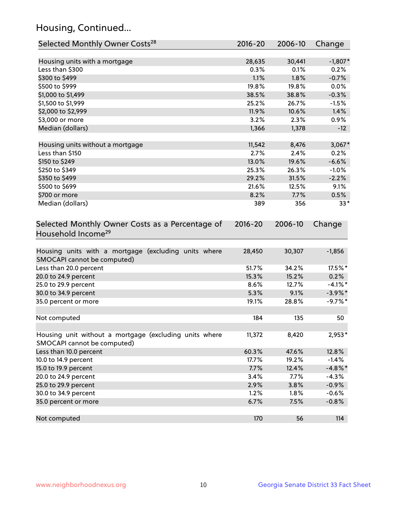## Housing, Continued...

| Selected Monthly Owner Costs <sup>28</sup>                                            | 2016-20     | 2006-10 | Change     |
|---------------------------------------------------------------------------------------|-------------|---------|------------|
| Housing units with a mortgage                                                         | 28,635      | 30,441  | $-1,807*$  |
| Less than \$300                                                                       | 0.3%        | 0.1%    | 0.2%       |
| \$300 to \$499                                                                        | 1.1%        | 1.8%    | $-0.7%$    |
| \$500 to \$999                                                                        | 19.8%       | 19.8%   | 0.0%       |
| \$1,000 to \$1,499                                                                    | 38.5%       | 38.8%   | $-0.3%$    |
| \$1,500 to \$1,999                                                                    | 25.2%       | 26.7%   | $-1.5%$    |
| \$2,000 to \$2,999                                                                    | 11.9%       | 10.6%   | 1.4%       |
| \$3,000 or more                                                                       | 3.2%        | 2.3%    | 0.9%       |
| Median (dollars)                                                                      | 1,366       | 1,378   | $-12$      |
| Housing units without a mortgage                                                      | 11,542      | 8,476   | $3,067*$   |
| Less than \$150                                                                       | 2.7%        | 2.4%    | 0.2%       |
| \$150 to \$249                                                                        | 13.0%       | 19.6%   | $-6.6%$    |
| \$250 to \$349                                                                        | 25.3%       | 26.3%   | $-1.0%$    |
| \$350 to \$499                                                                        | 29.2%       | 31.5%   | $-2.2%$    |
| \$500 to \$699                                                                        | 21.6%       | 12.5%   | 9.1%       |
| \$700 or more                                                                         | 8.2%        | 7.7%    | 0.5%       |
| Median (dollars)                                                                      | 389         | 356     | $33*$      |
| Selected Monthly Owner Costs as a Percentage of<br>Household Income <sup>29</sup>     | $2016 - 20$ | 2006-10 | Change     |
| Housing units with a mortgage (excluding units where<br>SMOCAPI cannot be computed)   | 28,450      | 30,307  | $-1,856$   |
| Less than 20.0 percent                                                                | 51.7%       | 34.2%   | 17.5%*     |
| 20.0 to 24.9 percent                                                                  | 15.3%       | 15.2%   | 0.2%       |
| 25.0 to 29.9 percent                                                                  | 8.6%        | 12.7%   | $-4.1\%$ * |
| 30.0 to 34.9 percent                                                                  | 5.3%        | 9.1%    | $-3.9\%$ * |
| 35.0 percent or more                                                                  | 19.1%       | 28.8%   | $-9.7%$ *  |
| Not computed                                                                          | 184         | 135     | 50         |
| Housing unit without a mortgage (excluding units where<br>SMOCAPI cannot be computed) | 11,372      | 8,420   | 2,953*     |
| Less than 10.0 percent                                                                | 60.3%       | 47.6%   | 12.8%      |
| 10.0 to 14.9 percent                                                                  | 17.7%       | 19.2%   | $-1.4%$    |
| 15.0 to 19.9 percent                                                                  | 7.7%        | 12.4%   | $-4.8\%$ * |
| 20.0 to 24.9 percent                                                                  | 3.4%        | 7.7%    | $-4.3%$    |
| 25.0 to 29.9 percent                                                                  | 2.9%        | 3.8%    | $-0.9%$    |
| 30.0 to 34.9 percent                                                                  | 1.2%        | 1.8%    | $-0.6%$    |
| 35.0 percent or more                                                                  | 6.7%        | 7.5%    | $-0.8%$    |
| Not computed                                                                          | 170         | 56      | 114        |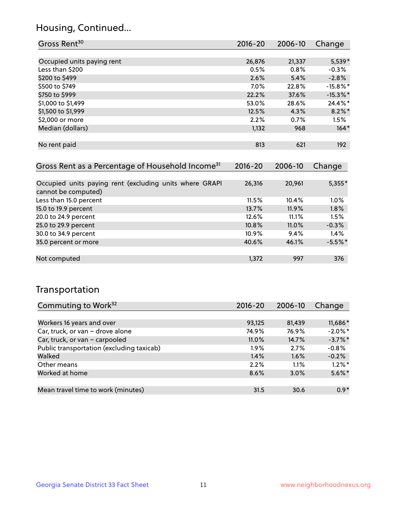## Housing, Continued...

| Gross Rent <sup>30</sup>   | 2016-20 | 2006-10 | Change      |
|----------------------------|---------|---------|-------------|
|                            |         |         |             |
| Occupied units paying rent | 26,876  | 21,337  | $5,539*$    |
| Less than \$200            | 0.5%    | 0.8%    | $-0.3%$     |
| \$200 to \$499             | 2.6%    | 5.4%    | $-2.8%$     |
| \$500 to \$749             | $7.0\%$ | 22.8%   | $-15.8\%$ * |
| \$750 to \$999             | 22.2%   | 37.6%   | $-15.3%$ *  |
| \$1,000 to \$1,499         | 53.0%   | 28.6%   | 24.4%*      |
| \$1,500 to \$1,999         | 12.5%   | 4.3%    | $8.2\%$ *   |
| \$2,000 or more            | 2.2%    | 0.7%    | 1.5%        |
| Median (dollars)           | 1,132   | 968     | $164*$      |
|                            |         |         |             |
| No rent paid               | 813     | 621     | 192         |

| Gross Rent as a Percentage of Household Income <sup>31</sup>                   | $2016 - 20$ | 2006-10  | Change    |
|--------------------------------------------------------------------------------|-------------|----------|-----------|
|                                                                                |             |          |           |
| Occupied units paying rent (excluding units where GRAPI<br>cannot be computed) | 26,316      | 20,961   | $5,355*$  |
| Less than 15.0 percent                                                         | 11.5%       | 10.4%    | $1.0\%$   |
| 15.0 to 19.9 percent                                                           | 13.7%       | $11.9\%$ | 1.8%      |
| 20.0 to 24.9 percent                                                           | 12.6%       | 11.1%    | 1.5%      |
| 25.0 to 29.9 percent                                                           | 10.8%       | 11.0%    | $-0.3%$   |
| 30.0 to 34.9 percent                                                           | 10.9%       | 9.4%     | 1.4%      |
| 35.0 percent or more                                                           | 40.6%       | 46.1%    | $-5.5%$ * |
| Not computed                                                                   | 1.372       | 997      | 376       |

## Transportation

| Commuting to Work <sup>32</sup>           | 2016-20 | 2006-10 | Change     |
|-------------------------------------------|---------|---------|------------|
|                                           |         |         |            |
| Workers 16 years and over                 | 93,125  | 81,439  | 11,686*    |
| Car, truck, or van - drove alone          | 74.9%   | 76.9%   | $-2.0\%$ * |
| Car, truck, or van - carpooled            | 11.0%   | 14.7%   | $-3.7\%$ * |
| Public transportation (excluding taxicab) | $1.9\%$ | 2.7%    | $-0.8%$    |
| Walked                                    | 1.4%    | 1.6%    | $-0.2%$    |
| Other means                               | 2.2%    | $1.1\%$ | $1.2\%$ *  |
| Worked at home                            | 8.6%    | 3.0%    | $5.6\%$ *  |
|                                           |         |         |            |
| Mean travel time to work (minutes)        | 31.5    | 30.6    | $0.9*$     |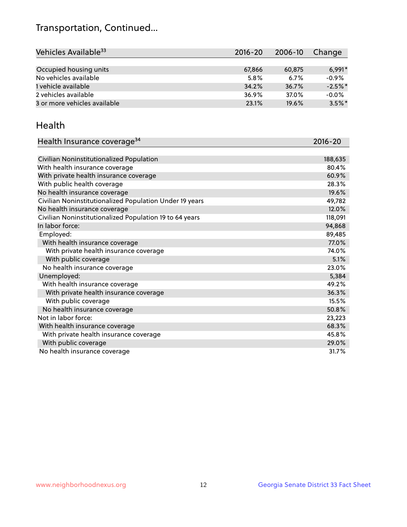## Transportation, Continued...

| Vehicles Available <sup>33</sup> | $2016 - 20$ | 2006-10 | Change    |
|----------------------------------|-------------|---------|-----------|
|                                  |             |         |           |
| Occupied housing units           | 67,866      | 60,875  | $6.991*$  |
| No vehicles available            | 5.8%        | 6.7%    | $-0.9%$   |
| 1 vehicle available              | 34.2%       | 36.7%   | $-2.5%$ * |
| 2 vehicles available             | 36.9%       | 37.0%   | $-0.0%$   |
| 3 or more vehicles available     | 23.1%       | 19.6%   | $3.5\%$ * |

#### Health

| Health Insurance coverage <sup>34</sup>                 | 2016-20 |
|---------------------------------------------------------|---------|
|                                                         |         |
| Civilian Noninstitutionalized Population                | 188,635 |
| With health insurance coverage                          | 80.4%   |
| With private health insurance coverage                  | 60.9%   |
| With public health coverage                             | 28.3%   |
| No health insurance coverage                            | 19.6%   |
| Civilian Noninstitutionalized Population Under 19 years | 49,782  |
| No health insurance coverage                            | 12.0%   |
| Civilian Noninstitutionalized Population 19 to 64 years | 118,091 |
| In labor force:                                         | 94,868  |
| Employed:                                               | 89,485  |
| With health insurance coverage                          | 77.0%   |
| With private health insurance coverage                  | 74.0%   |
| With public coverage                                    | 5.1%    |
| No health insurance coverage                            | 23.0%   |
| Unemployed:                                             | 5,384   |
| With health insurance coverage                          | 49.2%   |
| With private health insurance coverage                  | 36.3%   |
| With public coverage                                    | 15.5%   |
| No health insurance coverage                            | 50.8%   |
| Not in labor force:                                     | 23,223  |
| With health insurance coverage                          | 68.3%   |
| With private health insurance coverage                  | 45.8%   |
| With public coverage                                    | 29.0%   |
| No health insurance coverage                            | 31.7%   |